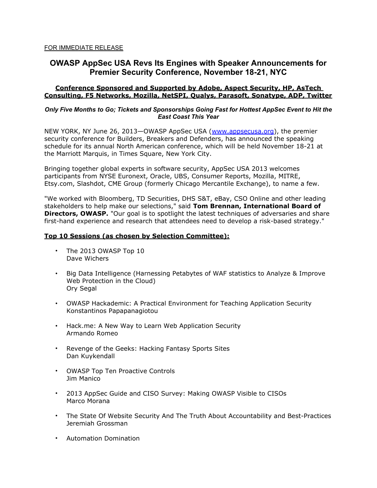# **OWASP AppSec USA Revs Its Engines with Speaker Announcements for Premier Security Conference, November 18-21, NYC**

## **Conference Sponsored and Supported by Adobe, Aspect Security, HP, AsTech Consulting, F5 Networks, Mozilla, NetSPI, Qualys, Parasoft, Sonatype, ADP, Twitter**

#### *Only Five Months to Go; Tickets and Sponsorships Going Fast for Hottest AppSec Event to Hit the East Coast This Year*

NEW YORK, NY June 26, 2013–OWASP AppSec USA (www.appsecusa.org), the premier security conference for Builders, Breakers and Defenders, has announced the speaking schedule for its annual North American conference, which will be held November 18-21 at the Marriott Marquis, in Times Square, New York City.

Bringing together global experts in software security, AppSec USA 2013 welcomes participants from NYSE Euronext, Oracle, UBS, Consumer Reports, Mozilla, MITRE, Etsy.com, Slashdot, CME Group (formerly Chicago Mercantile Exchange), to name a few.

"We worked with Bloomberg, TD Securities, DHS S&T, eBay, CSO Online and other leading stakeholders to help make our selections," said **Tom Brennan, International Board of Directors, OWASP.** "Our goal is to spotlight the latest techniques of adversaries and share first-hand experience and research that attendees need to develop a risk-based strategy."

### **Top 10 Sessions (as chosen by Selection Committee):**

- The 2013 OWASP Top 10 Dave Wichers
- Big Data Intelligence (Harnessing Petabytes of WAF statistics to Analyze & Improve Web Protection in the Cloud) Ory Segal
- OWASP Hackademic: A Practical Environment for Teaching Application Security Konstantinos Papapanagiotou
- Hack.me: A New Way to Learn Web Application Security Armando Romeo
- Revenge of the Geeks: Hacking Fantasy Sports Sites Dan Kuykendall
- OWASP Top Ten Proactive Controls Jim Manico
- 2013 AppSec Guide and CISO Survey: Making OWASP Visible to CISOs Marco Morana
- The State Of Website Security And The Truth About Accountability and Best-Practices Jeremiah Grossman
- Automation Domination